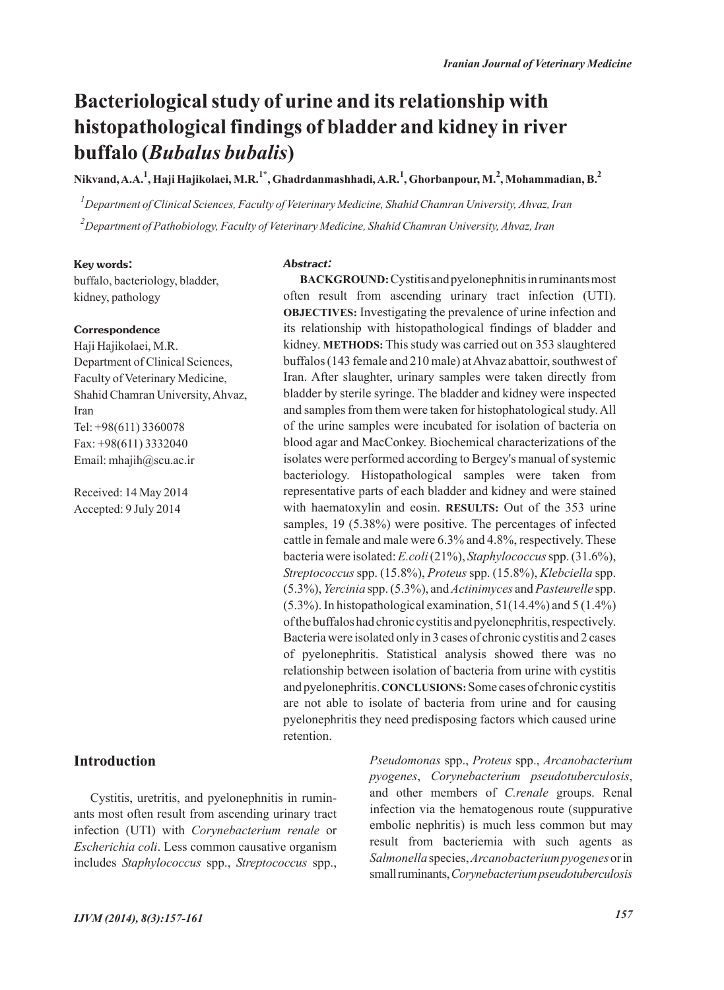# **Bacteriological study of urine and its relationship with histopathological findings of bladder and kidney in river buffalo (***Bubalus bubalis***)**

**Nikvand, A.A.<sup>1</sup> , Haji Hajikolaei, M.R.1\*, Ghadrdanmashhadi, A.R.1 , Ghorbanpour, M.<sup>2</sup> , Mohammadian, B.<sup>2</sup>**

*1 Department of Clinical Sciences, Faculty of Veterinary Medicine, Shahid Chamran University, Ahvaz, Iran 2 Department of Pathobiology, Faculty of Veterinary Medicine, Shahid Chamran University, Ahvaz, Iran*

*Abstract:*

#### **Key words:**

buffalo, bacteriology, bladder, kidney, pathology

#### **Correspondence**

Haji Hajikolaei, M.R. Department of Clinical Sciences, Faculty of Veterinary Medicine, Shahid Chamran University, Ahvaz, Iran Tel: +98(611) 3360078 Fax: +98(611) 3332040 Email: mhajih@scu.ac.ir

Received: 14 May 2014 Accepted: 9 July 2014

### **Introduction**

Cystitis, uretritis, and pyelonephnitis in ruminants most often result from ascending urinary tract infection (UTI) with *Corynebacterium renale* or *Escherichia coli*. Less common causative organism includes *Staphylococcus* spp., *Streptococcus* spp.,

**BACKGROUND:**Cystitis and pyelonephnitis in ruminants most often result from ascending urinary tract infection (UTI). **OBJECTIVES:** Investigating the prevalence of urine infection and its relationship with histopathological findings of bladder and kidney. **METHODS:** This study was carried out on 353 slaughtered buffalos (143 female and 210 male) at Ahvaz abattoir, southwest of Iran. After slaughter, urinary samples were taken directly from bladder by sterile syringe. The bladder and kidney were inspected and samples from them were taken for histophatological study. All of the urine samples were incubated for isolation of bacteria on blood agar and MacConkey. Biochemical characterizations of the isolates were performed according to Bergey's manual of systemic bacteriology. Histopathological samples were taken from representative parts of each bladder and kidney and were stained with haematoxylin and eosin. **RESULTS:** Out of the 353 urine samples, 19 (5.38%) were positive. The percentages of infected cattle in female and male were 6.3% and 4.8%, respectively. These bacteria were isolated: *E.coli*(21%), *Staphylococcus*spp. (31.6%), *Streptococcus* spp. (15.8%), *Proteus*spp. (15.8%), *Klebciella* spp. (5.3%), *Yercinia* spp. (5.3%), and *Actinimyces* and *Pasteurelle* spp.  $(5.3\%)$ . In histopathological examination,  $51(14.4\%)$  and  $5(1.4\%)$ of the buffalos had chronic cystitis and pyelonephritis, respectively. Bacteria were isolated only in 3 cases of chronic cystitis and 2 cases of pyelonephritis. Statistical analysis showed there was no relationship between isolation of bacteria from urine with cystitis and pyelonephritis. **CONCLUSIONS:**Some cases of chronic cystitis are not able to isolate of bacteria from urine and for causing pyelonephritis they need predisposing factors which caused urine retention.

> *Pseudomonas* spp., *Proteus* spp., *Arcanobacterium pyogenes*, *Corynebacterium pseudotuberculosis*, and other members of *C.renale* groups. Renal infection via the hematogenous route (suppurative embolic nephritis) is much less common but may result from bacteriemia with such agents as *Salmonella*species, *Arcanobacterium pyogenes*or in small ruminants, *Corynebacterium pseudotuberculosis*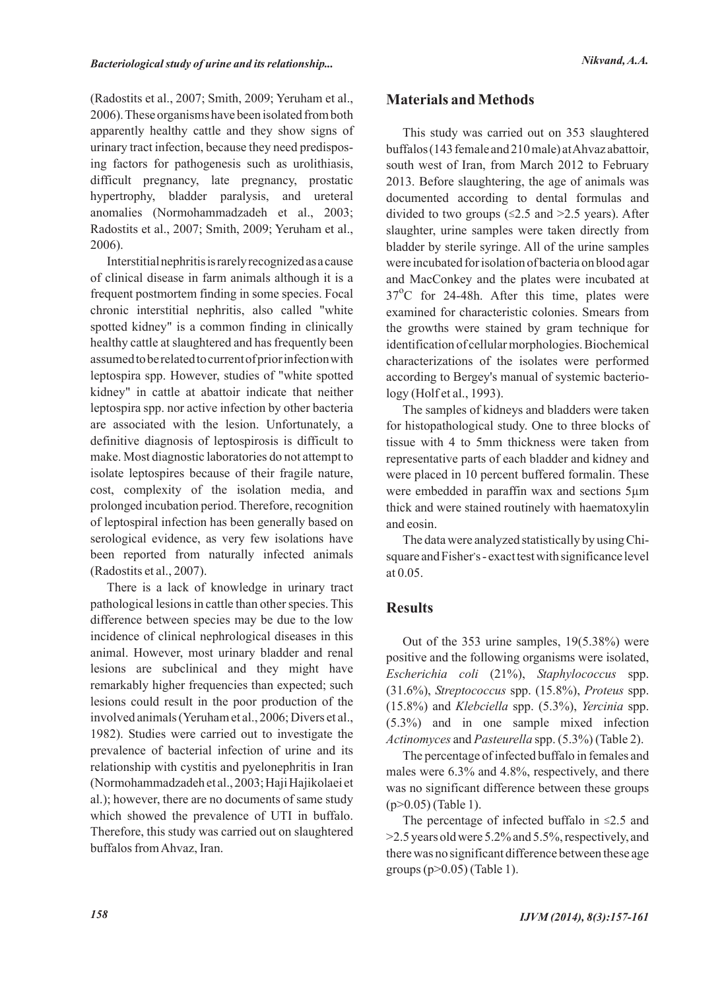(Radostits et al., 2007; Smith, 2009; Yeruham et al., 2006). These organisms have been isolated from both apparently healthy cattle and they show signs of urinary tract infection, because they need predisposing factors for pathogenesis such as urolithiasis, difficult pregnancy, late pregnancy, prostatic hypertrophy, bladder paralysis, and ureteral anomalies (Normohammadzadeh et al., 2003; Radostits et al., 2007; Smith, 2009; Yeruham et al., 2006).

Interstitial nephritis is rarely recognized as a cause of clinical disease in farm animals although it is a frequent postmortem finding in some species. Focal chronic interstitial nephritis, also called "white spotted kidney" is a common finding in clinically healthy cattle at slaughtered and has frequently been assumed to be related to current of prior infection with leptospira spp. However, studies of "white spotted kidney" in cattle at abattoir indicate that neither leptospira spp. nor active infection by other bacteria are associated with the lesion. Unfortunately, a definitive diagnosis of leptospirosis is difficult to make. Most diagnostic laboratories do not attempt to isolate leptospires because of their fragile nature, cost, complexity of the isolation media, and prolonged incubation period. Therefore, recognition of leptospiral infection has been generally based on serological evidence, as very few isolations have been reported from naturally infected animals (Radostits et al., 2007).

There is a lack of knowledge in urinary tract pathological lesions in cattle than other species. This difference between species may be due to the low incidence of clinical nephrological diseases in this animal. However, most urinary bladder and renal lesions are subclinical and they might have remarkably higher frequencies than expected; such lesions could result in the poor production of the involved animals (Yeruham et al., 2006; Divers et al., 1982). Studies were carried out to investigate the prevalence of bacterial infection of urine and its relationship with cystitis and pyelonephritis in Iran (Normohammadzadeh et al., 2003; Haji Hajikolaei et al.); however, there are no documents of same study which showed the prevalence of UTI in buffalo. Therefore, this study was carried out on slaughtered buffalos from Ahvaz, Iran.

## **Materials and Methods**

This study was carried out on 353 slaughtered buffalos (143 female and 210 male) at Ahvaz abattoir, south west of Iran, from March 2012 to February 2013. Before slaughtering, the age of animals was documented according to dental formulas and divided to two groups ( $\leq$ 2.5 and  $\geq$ 2.5 years). After slaughter, urine samples were taken directly from bladder by sterile syringe. All of the urine samples were incubated for isolation of bacteria on blood agar and MacConkey and the plates were incubated at 37°C for 24-48h. After this time, plates were examined for characteristic colonies. Smears from the growths were stained by gram technique for identification of cellular morphologies. Biochemical characterizations of the isolates were performed according to Bergey's manual of systemic bacteriology (Holf et al., 1993).

The samples of kidneys and bladders were taken for histopathological study. One to three blocks of tissue with 4 to 5mm thickness were taken from representative parts of each bladder and kidney and were placed in 10 percent buffered formalin. These were embedded in paraffin wax and sections 5µm thick and were stained routinely with haematoxylin and eosin.

The data were analyzed statistically by using Chisquare and Fisher's - exact test with significance level at 0.05.

## **Results**

Out of the 353 urine samples, 19(5.38%) were positive and the following organisms were isolated, *Escherichia coli* (21%), *Staphylococcus* spp. (31.6%), *Streptococcus* spp. (15.8%), *Proteus* spp. (15.8%) and *Klebciella* spp. (5.3%), *Yercinia* spp. (5.3%) and in one sample mixed infection *Actinomyces* and *Pasteurella* spp. (5.3%) (Table 2).

The percentage of infected buffalo in females and males were 6.3% and 4.8%, respectively, and there was no significant difference between these groups (p>0.05) (Table 1).

The percentage of infected buffalo in  $\leq 2.5$  and >2.5 years old were 5.2% and 5.5%, respectively, and there was no significant difference between these age groups (p>0.05) (Table 1).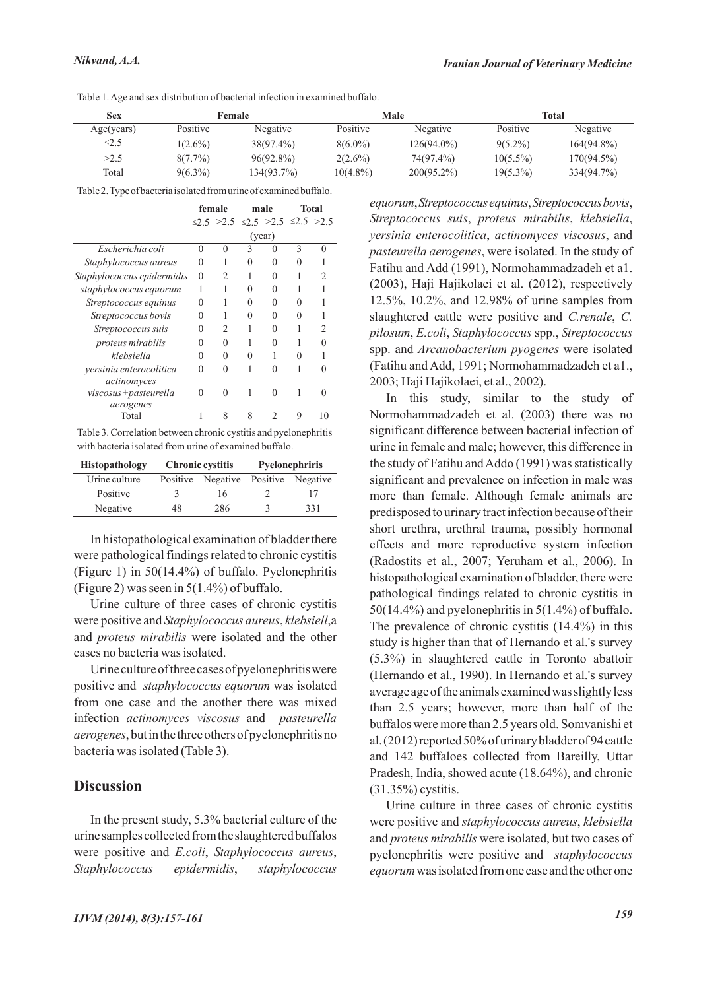|  | Table 1. Age and sex distribution of bacterial infection in examined buffalo. |  |  |
|--|-------------------------------------------------------------------------------|--|--|
|--|-------------------------------------------------------------------------------|--|--|

| Sex        | Female          |              |             | Male          | Total           |               |
|------------|-----------------|--------------|-------------|---------------|-----------------|---------------|
| Age(years) | <b>Positive</b> | Negative     | Positive    | Negative      | <b>Positive</b> | Negative      |
| $\leq$ 2.5 | $1(2.6\%)$      | $38(97.4\%)$ | $8(6.0\%)$  | $126(94.0\%)$ | $9(5.2\%)$      | $164(94.8\%)$ |
| >2.5       | $8(7.7\%)$      | $96(92.8\%)$ | $2(2.6\%)$  | 74(97.4%)     | $10(5.5\%)$     | 170(94.5%)    |
| Total      | $9(6.3\%)$      | 134(93.7%)   | $10(4.8\%)$ | $200(95.2\%)$ | 19(5.3%)        | 334(94.7%)    |

Table 2. Type of bacteria isolated from urine of examined buffalo.

|                            | female   |                | male         |                                                          | Total         |    |
|----------------------------|----------|----------------|--------------|----------------------------------------------------------|---------------|----|
|                            |          |                |              | $\leq$ 2.5 $>$ 2.5 $\leq$ 2.5 $>$ 2.5 $\leq$ 2.5 $>$ 2.5 |               |    |
|                            |          |                |              | (year)                                                   |               |    |
| Escherichia coli           | $\Omega$ | $\Omega$       | 3            | 0                                                        | $\mathcal{E}$ | 0  |
| Staphylococcus aureus      | 0        |                | 0            | 0                                                        | $\mathbf{0}$  |    |
| Staphylococcus epidermidis | $\Omega$ | $\mathfrak{D}$ |              | $\Omega$                                                 |               | 2  |
| staphylococcus equorum     |          |                | $\Omega$     | $\Omega$                                                 |               |    |
| Streptococcus equinus      | $\Omega$ |                | $\mathbf{0}$ | $\Omega$                                                 |               |    |
| Streptococcus bovis        | $\Omega$ |                | $\Omega$     | $\Omega$                                                 | $\mathbf{I}$  |    |
| Streptococcus suis         | 0        | $\mathfrak{D}$ |              | $\Omega$                                                 |               | 2  |
| proteus mirabilis          | $\Omega$ | $\Omega$       |              | $\Omega$                                                 |               |    |
| klebsiella                 | ∩        | $\Omega$       | $\Omega$     |                                                          |               |    |
| versinia enterocolitica    | 0        | 0              |              | $\Omega$                                                 |               | 0  |
| actinomyces                |          |                |              |                                                          |               |    |
| viscosus+pasteurella       | $\Omega$ | ∩              |              | 0                                                        |               | 0  |
| aerogenes                  |          |                |              |                                                          |               |    |
| Total                      | 1        | 8              | 8            | 2                                                        | 9             | 10 |

Table 3. Correlation between chronic cystitis and pyelonephritis with bacteria isolated from urine of examined buffalo.

| Histopathology |    | <b>Chronic cystitis</b> | Pyelonephriris |                   |  |
|----------------|----|-------------------------|----------------|-------------------|--|
| Urine culture  |    | Positive Negative       |                | Positive Negative |  |
| Positive       | К  | 16                      |                | 17                |  |
| Negative       | 48 | 286                     |                | 331               |  |

In histopathological examination of bladder there were pathological findings related to chronic cystitis (Figure 1) in 50(14.4%) of buffalo. Pyelonephritis (Figure 2) was seen in 5(1.4%) of buffalo.

Urine culture of three cases of chronic cystitis were positive and *Staphylococcus aureus*, *klebsiell*,a and *proteus mirabilis* were isolated and the other cases no bacteria was isolated.

Urine culture of three cases of pyelonephritis were positive and *staphylococcus equorum* was isolated from one case and the another there was mixed infection *actinomyces viscosus* and *pasteurella aerogenes*, but in the three others of pyelonephritis no bacteria was isolated (Table 3).

#### **Discussion**

In the present study, 5.3% bacterial culture of the urine samples collected from the slaughtered buffalos were positive and *E.coli*, *Staphylococcus aureus*, *Staphylococcus epidermidis*, *staphylococcus* *equorum*, *Streptococcus equinus*, *Streptococcus bovis*, *Streptococcus suis*, *proteus mirabilis*, *klebsiella*, *yersinia enterocolitica*, *actinomyces viscosus*, and *pasteurella aerogenes*, were isolated. In the study of Fatihu and Add (1991), Normohammadzadeh et a1. (2003), Haji Hajikolaei et al. (2012), respectively 12.5%, 10.2%, and 12.98% of urine samples from slaughtered cattle were positive and *C.renale*, *C. pilosum*, *E.coli*, *Staphylococcus* spp., *Streptococcus* spp. and *Arcanobacterium pyogenes* were isolated (Fatihu and Add, 1991; Normohammadzadeh et a1., 2003; Haji Hajikolaei, et al., 2002).

In this study, similar to the study of Normohammadzadeh et al. (2003) there was no significant difference between bacterial infection of urine in female and male; however, this difference in the study of Fatihu and Addo (1991) was statistically significant and prevalence on infection in male was more than female. Although female animals are predisposed to urinary tract infection because of their short urethra, urethral trauma, possibly hormonal effects and more reproductive system infection (Radostits et al., 2007; Yeruham et al., 2006). In histopathological examination of bladder, there were pathological findings related to chronic cystitis in 50(14.4%) and pyelonephritis in 5(1.4%) of buffalo. The prevalence of chronic cystitis (14.4%) in this study is higher than that of Hernando et al.'s survey (5.3%) in slaughtered cattle in Toronto abattoir (Hernando et al., 1990). In Hernando et al.'s survey average age of the animals examined was slightly less than 2.5 years; however, more than half of the buffalos were more than 2.5 years old. Somvanishi et al. (2012) reported 50% of urinary bladder of 94 cattle and 142 buffaloes collected from Bareilly, Uttar Pradesh, India, showed acute (18.64%), and chronic (31.35%) cystitis.

Urine culture in three cases of chronic cystitis were positive and *staphylococcus aureus*, *klebsiella* and *proteus mirabilis* were isolated, but two cases of pyelonephritis were positive and *staphylococcus equorum*was isolated from one case and the other one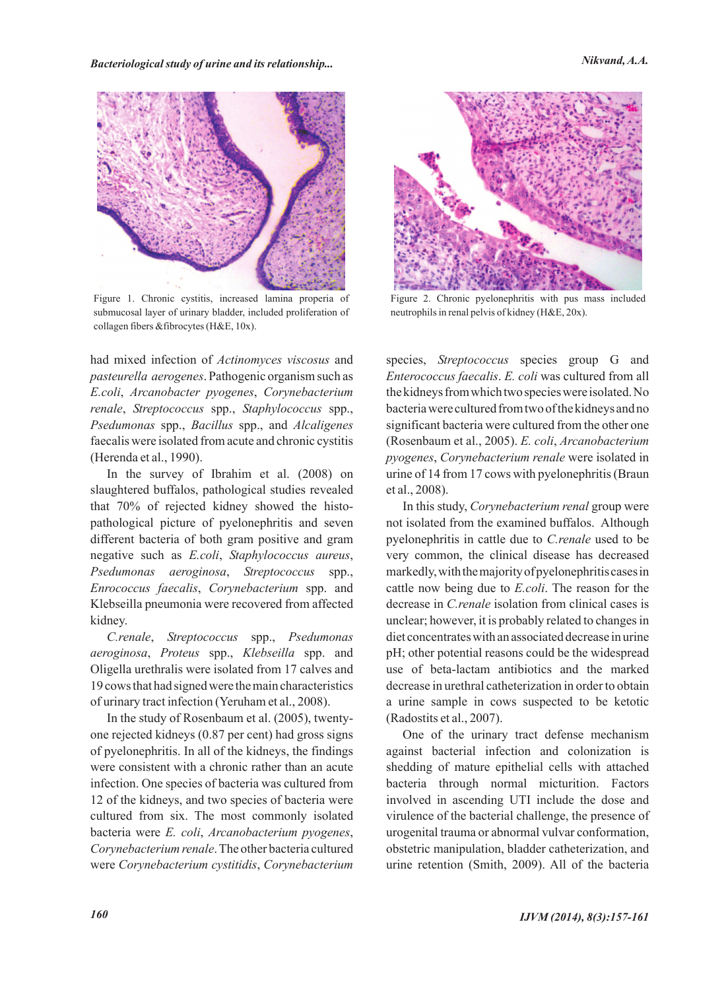*Bacteriological study of urine and its relationship... Nikvand, A.A.*



Figure 1. Chronic cystitis, increased lamina properia of submucosal layer of urinary bladder, included proliferation of collagen fibers &fibrocytes (H&E, 10x).

had mixed infection of *Actinomyces viscosus* and *pasteurella aerogenes*. Pathogenic organism such as *E.coli*, *Arcanobacter pyogenes*, *Corynebacterium renale*, *Streptococcus* spp., *Staphylococcus* spp., *Psedumonas* spp., *Bacillus* spp., and *Alcaligenes* faecalis were isolated from acute and chronic cystitis (Herenda et al., 1990).

In the survey of Ibrahim et al. (2008) on slaughtered buffalos, pathological studies revealed that 70% of rejected kidney showed the histopathological picture of pyelonephritis and seven different bacteria of both gram positive and gram negative such as *E.coli*, *Staphylococcus aureus*, *Psedumonas aeroginosa*, *Streptococcus* spp., *Enrococcus faecalis*, *Corynebacterium* spp. and Klebseilla pneumonia were recovered from affected kidney.

*C.renale*, *Streptococcus* spp., *Psedumonas aeroginosa*, *Proteus* spp., *Klebseilla* spp. and Oligella urethralis were isolated from 17 calves and 19 cows that had signed were the main characteristics of urinary tract infection (Yeruham et al., 2008).

In the study of Rosenbaum et al. (2005), twentyone rejected kidneys (0.87 per cent) had gross signs of pyelonephritis. In all of the kidneys, the findings were consistent with a chronic rather than an acute infection. One species of bacteria was cultured from 12 of the kidneys, and two species of bacteria were cultured from six. The most commonly isolated bacteria were *E. coli*, *Arcanobacterium pyogenes*, *Corynebacterium renale*. The other bacteria cultured were *Corynebacterium cystitidis*, *Corynebacterium*



Figure 2. Chronic pyelonephritis with pus mass included neutrophils in renal pelvis of kidney (H&E, 20x).

species, *Streptococcus* species group G and *Enterococcus faecalis*. *E. coli* was cultured from all the kidneys from which two species were isolated. No bacteria were cultured from two of the kidneys and no significant bacteria were cultured from the other one (Rosenbaum et al., 2005). *E. coli*, *Arcanobacterium pyogenes*, *Corynebacterium renale* were isolated in urine of 14 from 17 cows with pyelonephritis (Braun et al., 2008).

In this study, *Corynebacterium renal* group were not isolated from the examined buffalos. Although pyelonephritis in cattle due to *C.renale* used to be very common, the clinical disease has decreased markedly, with the majority of pyelonephritis cases in cattle now being due to *E.coli*. The reason for the decrease in *C.renale* isolation from clinical cases is unclear; however, it is probably related to changes in diet concentrates with an associated decrease in urine pH; other potential reasons could be the widespread use of beta-lactam antibiotics and the marked decrease in urethral catheterization in order to obtain a urine sample in cows suspected to be ketotic (Radostits et al., 2007).

One of the urinary tract defense mechanism against bacterial infection and colonization is shedding of mature epithelial cells with attached bacteria through normal micturition. Factors involved in ascending UTI include the dose and virulence of the bacterial challenge, the presence of urogenital trauma or abnormal vulvar conformation, obstetric manipulation, bladder catheterization, and urine retention (Smith, 2009). All of the bacteria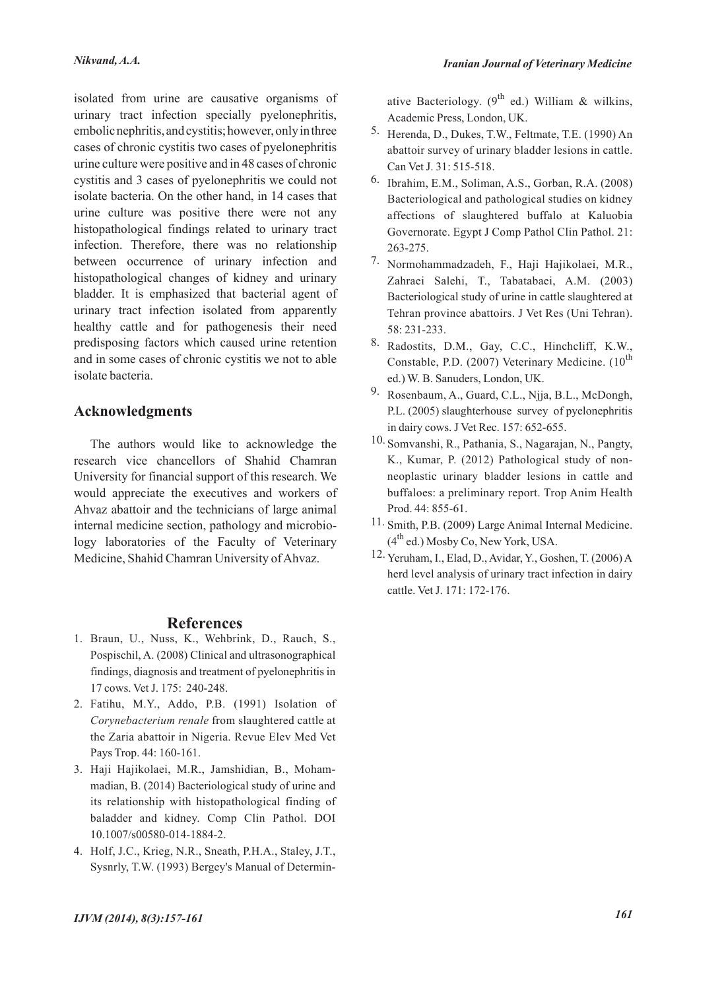isolated from urine are causative organisms of urinary tract infection specially pyelonephritis, embolic nephritis, and cystitis; however, only in three cases of chronic cystitis two cases of pyelonephritis urine culture were positive and in 48 cases of chronic cystitis and 3 cases of pyelonephritis we could not isolate bacteria. On the other hand, in 14 cases that urine culture was positive there were not any histopathological findings related to urinary tract infection. Therefore, there was no relationship between occurrence of urinary infection and histopathological changes of kidney and urinary bladder. It is emphasized that bacterial agent of urinary tract infection isolated from apparently healthy cattle and for pathogenesis their need predisposing factors which caused urine retention and in some cases of chronic cystitis we not to able isolate bacteria.

## **Acknowledgments**

The authors would like to acknowledge the research vice chancellors of Shahid Chamran University for financial support of this research. We would appreciate the executives and workers of Ahvaz abattoir and the technicians of large animal internal medicine section, pathology and microbiology laboratories of the Faculty of Veterinary Medicine, Shahid Chamran University of Ahvaz.

### **References**

- 1. Braun, U., Nuss, K., Wehbrink, D., Rauch, S., Pospischil, A. (2008) Clinical and ultrasonographical findings, diagnosis and treatment of pyelonephritis in 17 cows. Vet J. 175: 240-248.
- Fatihu, M.Y., Addo, P.B. (1991) Isolation of 2. *Corynebacterium renale* from slaughtered cattle at the Zaria abattoir in Nigeria. Revue Elev Med Vet Pays Trop. 44: 160-161.
- Haji Hajikolaei, M.R., Jamshidian, B., Moham-3. madian, B. (2014) Bacteriological study of urine and its relationship with histopathological finding of baladder and kidney. Comp Clin Pathol. DOI 10.1007/s00580-014-1884-2.
- 4. Holf, J.C., Krieg, N.R., Sneath, P.H.A., Staley, J.T., Sysnrly, T.W. (1993) Bergey's Manual of Determin-

ative Bacteriology.  $(9^{th}$  ed.) William & wilkins, Academic Press, London, UK.

- 5. Herenda, D., Dukes, T.W., Feltmate, T.E. (1990) An abattoir survey of urinary bladder lesions in cattle. Can Vet J. 31: 515-518.
- <sup>6.</sup> Ibrahim, E.M., Soliman, A.S., Gorban, R.A. (2008) Bacteriological and pathological studies on kidney affections of slaughtered buffalo at Kaluobia Governorate. Egypt J Comp Pathol Clin Pathol. 21: 263-275.
- 7. Normohammadzadeh, F., Haji Hajikolaei, M.R., Zahraei Salehi, T., Tabatabaei, A.M. (2003) Bacteriological study of urine in cattle slaughtered at Tehran province abattoirs. J Vet Res (Uni Tehran). 58: 231-233.
- 8. Radostits, D.M., Gay, C.C., Hinchcliff, K.W., Constable, P.D. (2007) Veterinary Medicine.  $(10^{th}$ ed.) W. B. Sanuders, London, UK.
- 9. Rosenbaum, A., Guard, C.L., Njja, B.L., McDongh, P.L. (2005) slaughterhouse survey of pyelonephritis in dairy cows. J Vet Rec. 157: 652-655.
- 10. Somvanshi, R., Pathania, S., Nagarajan, N., Pangty, K., Kumar, P. (2012) Pathological study of nonneoplastic urinary bladder lesions in cattle and buffaloes: a preliminary report. Trop Anim Health Prod. 44: 855-61.
- 11. Smith, P.B. (2009) Large Animal Internal Medicine.  $(4^{th}$  ed.) Mosby Co, New York, USA.
- 12. Yeruham, I., Elad, D., Avidar, Y., Goshen, T. (2006) A herd level analysis of urinary tract infection in dairy cattle. Vet J. 171: 172-176.